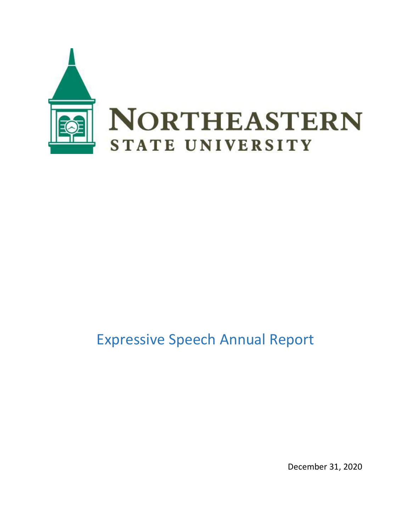

## Expressive Speech Annual Report

December 31, 2020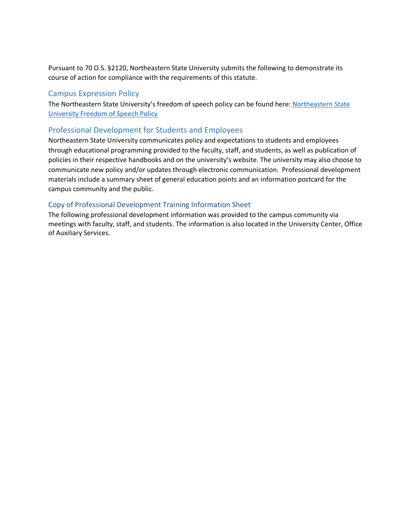Pursuant to 70 O.S. §2120, Northeastern State University submits the following to demonstrate its course of action for compliance with the requirements of this statute.

## Campus Expression Policy

The Northeastern State University's freedom of speech policy can be found here: [Northeastern State](https://policies.nsuok.edu/GeneralCounsel/FreedomofSpeech(ExpressiveActivities).aspx)  [University Freedom of Speech Policy](https://policies.nsuok.edu/GeneralCounsel/FreedomofSpeech(ExpressiveActivities).aspx)

## Professional Development for Students and Employees

Northeastern State University communicates policy and expectations to students and employees through educational programming provided to the faculty, staff, and students, as well as publication of policies in their respective handbooks and on the university's website. The university may also choose to communicate new policy and/or updates through electronic communication. Professional development materials include a summary sheet of general education points and an information postcard for the campus community and the public.

## Copy of Professional Development Training Information Sheet

The following professional development information was provided to the campus community via meetings with faculty, staff, and students. The information is also located in the University Center, Office of Auxiliary Services.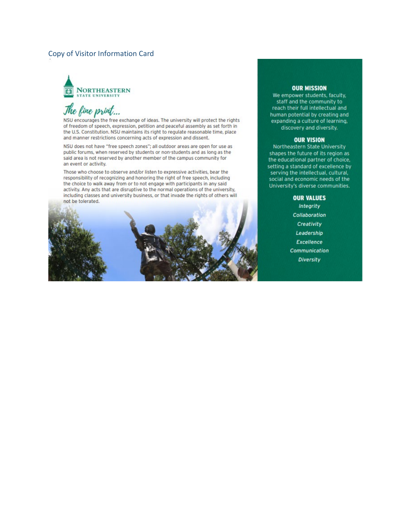## Copy of Visitor Information Card



## The fine print...

NSU encourages the free exchange of ideas. The university will protect the rights of freedom of speech, expression, petition and peaceful assembly as set forth in the U.S. Constitution. NSU maintains its right to regulate reasonable time, place and manner restrictions concerning acts of expression and dissent.

NSU does not have "free speech zones"; all outdoor areas are open for use as public forums, when reserved by students or non-students and as long as the said area is not reserved by another member of the campus community for an event or activity.

Those who choose to observe and/or listen to expressive activities, bear the responsibility of recognizing and honoring the right of free speech, including the choice to walk away from or to not engage with participants in any said activity. Any acts that are disruptive to the normal operations of the university, including classes and university business, or that invade the rights of others will not be tolerated.

### **OUR MISSION**

We empower students, faculty, staff and the community to reach their full intellectual and human potential by creating and expanding a culture of learning, discovery and diversity.

## **OUR VISION**

Northeastern State University shapes the future of its region as the educational partner of choice, setting a standard of excellence by serving the intellectual, cultural, social and economic needs of the University's diverse communities.

## **OUR VALUES**

Integrity Collaboration Creativity Leadership **Excellence** Communication Diversity